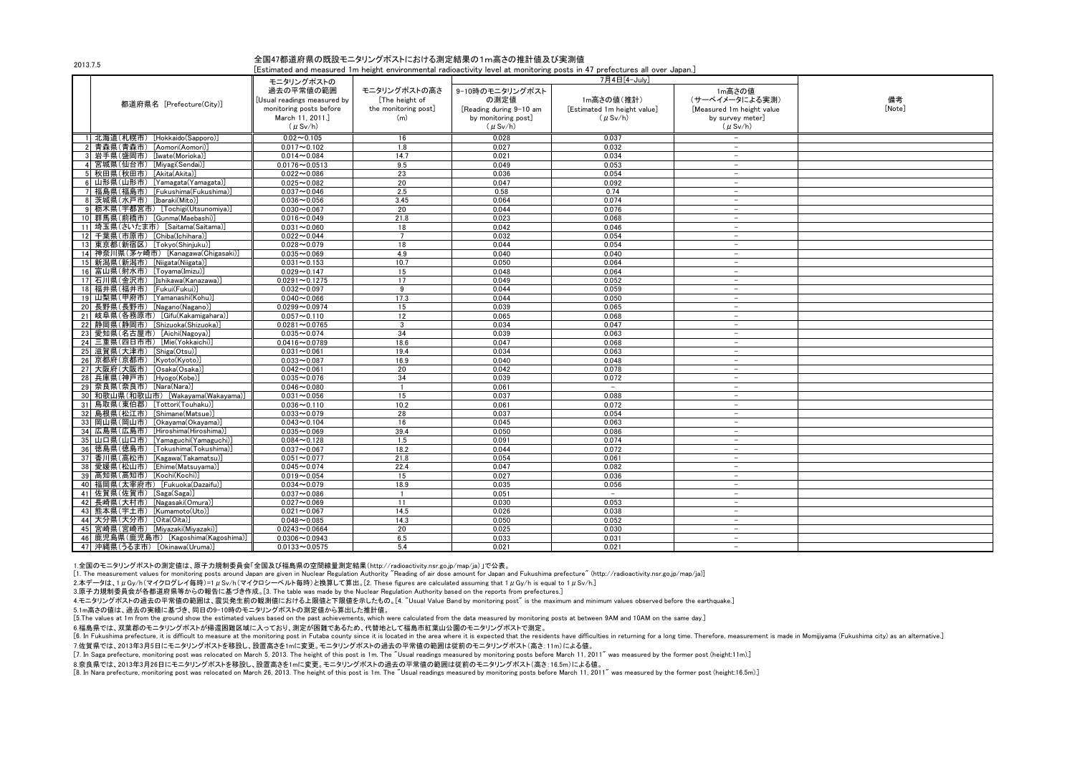2013.7.5

全国47都道府県の既設モニタリングポストにおける測定結果の1m高さの推計値及び実測値 estimated and measured 1m height environmental radioactivity level at monitoring posts in 47 prefectures all over Japan.]

|      |                                      |                             |                      |                         | [ESUMated and measured Thi neight environmental radioactivity level at monitoring posts in 47 prefectures all over dapari.] |                           |        |
|------|--------------------------------------|-----------------------------|----------------------|-------------------------|-----------------------------------------------------------------------------------------------------------------------------|---------------------------|--------|
|      |                                      | モニタリングポストの                  |                      | 7月4日「4-July]            |                                                                                                                             |                           |        |
|      |                                      | 過去の平常値の範囲                   | モニタリングポストの高さ         | 9-10時のモニタリングポスト         |                                                                                                                             | 1m高さの値                    |        |
|      |                                      | [Usual readings measured by | [The height of       | の測定値                    | 1m高さの値(推計)                                                                                                                  | (サーベイメータによる実測)            | 備考     |
|      | 都道府県名 [Prefecture(City)]             | monitoring posts before     | the monitoring post] | [Reading during 9-10 am | [Estimated 1m height value]                                                                                                 | [Measured 1m height value | [Note] |
|      |                                      |                             | (m)                  |                         |                                                                                                                             |                           |        |
|      |                                      | March 11, 2011.]            |                      | by monitoring post]     | $(\mu Sv/h)$                                                                                                                | by survey meter]          |        |
|      |                                      | $(\mu Sv/h)$                |                      | $(\mu$ Sv/h)            |                                                                                                                             | $(\mu Sv/h)$              |        |
|      | 北海道(札幌市) [Hokkaido(Sapporo)]         | $0.02 - 0.105$              | 16                   | 0.028                   | 0.037                                                                                                                       |                           |        |
|      | 2 青森県(青森市) [Aomori(Aomori)]          | $0.017 - 0.102$             | 1.8                  | 0.027                   | 0.032                                                                                                                       |                           |        |
|      | 3 岩手県(盛岡市) [Iwate(Morioka)]          | $0.014 - 0.084$             | 14.7                 | 0.021                   | 0.034                                                                                                                       | $\sim$                    |        |
|      | 宮城県(仙台市) [Miyagi(Sendai)]            | $0.0176 - 0.0513$           | 9.5                  | 0.049                   | 0.053                                                                                                                       | $\sim$                    |        |
|      | 秋田県(秋田市)「Akita(Akita)]               | $0.022 - 0.086$             | 23                   | 0.036                   | 0.054                                                                                                                       | $\sim$                    |        |
| 6    | 山形県(山形市) [Yamagata(Yamagata)]        | $0.025 - 0.082$             | 20                   | 0.047                   | 0.092                                                                                                                       | $\overline{\phantom{0}}$  |        |
|      | 7 福島県(福島市)「Fukushima(Fukushima)      | $0.037 - 0.046$             | 2.5                  | 0.58                    | 0.74                                                                                                                        | $\sim$                    |        |
|      | 茨城県(水戸市) [Ibaraki(Mito)]             | $0.036 - 0.056$             | 3.45                 | 0.064                   | 0.074                                                                                                                       | $\sim$                    |        |
| 9    | 栃木県(宇都宮市) [Tochigi(Utsunomiya)]      | $0.030 - 0.067$             | 20                   | 0.044                   | 0.076                                                                                                                       | $\sim$                    |        |
|      | 10 群馬県(前橋市) [Gunma(Maebashi)]        | $0.016 - 0.049$             | 21.8                 | 0.023                   | 0.068                                                                                                                       | $\sim$                    |        |
|      | 11 埼玉県(さいたま市) [Saitama(Saitama)]     | $0.031 - 0.060$             | 18                   | 0.042                   | 0.046                                                                                                                       | $\overline{\phantom{a}}$  |        |
|      | 12 千葉県(市原市) 「Chiba(Ichihara)]        | $0.022 - 0.044$             | $\overline{7}$       | 0.032                   | 0.054                                                                                                                       | $\sim$                    |        |
|      | 13 東京都(新宿区) [Tokyo(Shinjuku)]        | $0.028 - 0.079$             | 18                   | 0.044                   | 0.054                                                                                                                       | $\sim$                    |        |
|      | 14 神奈川県(茅ヶ崎市) [Kanagawa(Chigasaki)]  | $0.035 - 0.069$             | 4.9                  | 0.040                   | 0.040                                                                                                                       | $\sim$                    |        |
|      | 15 新潟県(新潟市) [Niigata(Niigata)]       | $0.031 - 0.153$             | 10.7                 | 0.050                   | 0.064                                                                                                                       | $\overline{\phantom{a}}$  |        |
|      | - 16 富山県(射水市) [Toyama(Imizu)]        | $0.029 - 0.147$             | 15                   | 0.048                   | 0.064                                                                                                                       | $\overline{\phantom{a}}$  |        |
|      | 17 石川県(金沢市)「Ishikawa(Kanazawa)       | $0.0291 - 0.1275$           | 17                   | 0.049                   | 0.052                                                                                                                       | $\sim$                    |        |
| 18   | 福井県(福井市)[Fukui(Fukui)]               | $0.032 - 0.097$             | 9                    | 0.044                   | 0.059                                                                                                                       | $\sim$                    |        |
|      | 19 山梨県(甲府市) [Yamanashi(Kohu)]        | $0.040 - 0.066$             | 17.3                 | 0.044                   | 0.050                                                                                                                       | $\overline{\phantom{a}}$  |        |
|      | 20 長野県(長野市) [Nagano(Nagano)]         | $0.0299 - 0.0974$           | 15                   | 0.039                   | 0.065                                                                                                                       | $\sim$                    |        |
|      | 21 岐阜県(各務原市) [Gifu(Kakamigahara)]    | $0.057 - 0.110$             | 12                   | 0.065                   | 0.068                                                                                                                       | $\sim$                    |        |
|      | 22   静岡県(静岡市) [Shizuoka(Shizuoka)]   | $0.0281 - 0.0765$           | $\mathbf{3}$         | 0.034                   | 0.047                                                                                                                       | $\sim$                    |        |
|      | 23 愛知県(名古屋市) [Aichi(Nagoya)]         | $0.035 - 0.074$             | 34                   | 0.039                   | 0.063                                                                                                                       | $\sim$                    |        |
|      | 24 三重県(四日市市)「Mie(Yokkaichi)          | $0.0416 - 0.0789$           | 18.6                 | 0.047                   | 0.068                                                                                                                       | $\sim$                    |        |
|      | 25   滋賀県(大津市) [Shiga(Otsu)]          | $0.031 - 0.061$             | 19.4                 | 0.034                   | 0.063                                                                                                                       | $\sim$                    |        |
| - 26 | 京都府(京都市) [Kyoto(Kyoto)]              | $0.033 - 0.087$             | 16.9                 | 0.040                   | 0.048                                                                                                                       | $\overline{\phantom{a}}$  |        |
|      | 27 大阪府(大阪市) [Osaka(Osaka)]           | $0.042 - 0.061$             | 20                   | 0.042                   | 0.078                                                                                                                       | $\sim$                    |        |
|      | 28 兵庫県(神戸市) [Hyogo(Kobe)]            | $0.035 - 0.076$             | 34                   | 0.039                   | 0.072                                                                                                                       | $\overline{\phantom{a}}$  |        |
|      | 29 奈良県(奈良市) [Nara(Nara)]             | $0.046 - 0.080$             | $\overline{1}$       | 0.061                   | $\sim$                                                                                                                      | $\sim$                    |        |
|      | 30 和歌山県(和歌山市) [Wakayama(Wakayama)]   | $0.031 - 0.056$             | 15                   | 0.037                   | 0.088                                                                                                                       | $\sim$                    |        |
| 31   | 鳥取県(東伯郡)「Tottori(Touhaku)]           | $0.036 - 0.110$             | 10.2                 | 0.061                   | 0.072                                                                                                                       | $\overline{\phantom{a}}$  |        |
|      | 32 島根県(松江市) [Shimane(Matsue)]        | $0.033 - 0.079$             | 28                   | 0.037                   | 0.054                                                                                                                       | $\sim$                    |        |
|      |                                      | $0.043 - 0.104$             | 16                   | 0.045                   | 0.063                                                                                                                       | $\sim$                    |        |
| 34   | 広島県(広島市) [Hiroshima(Hiroshima)]      | $0.035 - 0.069$             | 39.4                 | 0.050                   | 0.086                                                                                                                       | $\sim$                    |        |
| 35 I | 山口県(山口市) [Yamaguchi(Yamaguchi)]      | $0.084 - 0.128$             | 1.5                  | 0.091                   | 0.074                                                                                                                       | $\sim$                    |        |
|      | 36   徳島県(徳島市) [Tokushima(Tokushima)] | $0.037 - 0.067$             | 18.2                 | 0.044                   | 0.072                                                                                                                       | $\sim$                    |        |
|      | 37 香川県(高松市)「Kagawa(Takamatsu)        | $0.051 - 0.077$             | 21.8                 | 0.054                   | 0.061                                                                                                                       | $\overline{\phantom{a}}$  |        |
|      | 38 愛媛県(松山市) [Ehime(Matsuyama)]       | $0.045 - 0.074$             | 22.4                 | 0.047                   | 0.082                                                                                                                       | $\sim$                    |        |
| 39   | 高知県(高知市)<br>[Kochi(Kochi)]           | $0.019 - 0.054$             | 15                   | 0.027                   | 0.036                                                                                                                       | $\overline{\phantom{a}}$  |        |
|      | 40 福岡県 (太宰府市) [Fukuoka(Dazaifu)]     | $0.034 - 0.079$             | 18.9                 | 0.035                   | 0.056                                                                                                                       | $\sim$                    |        |
|      | 41 佐賀県(佐賀市) [Saga(Saga)]             | $0.037 - 0.086$             |                      | 0.051                   | $\overline{\phantom{a}}$                                                                                                    | $\overline{\phantom{a}}$  |        |
|      | 42 長崎県(大村市) [Nagasaki(Omura)]        | $0.027 - 0.069$             | 11                   | 0.030                   | 0.053                                                                                                                       | $\overline{\phantom{a}}$  |        |
|      | 43   熊本県(宇土市) [Kumamoto(Uto)]        | $0.021 - 0.067$             | 14.5                 | 0.026                   | 0.038                                                                                                                       | $\sim$                    |        |
|      | 44 大分県(大分市) [Oita(Oita)              | $0.048 - 0.085$             | 14.3                 | 0.050                   | 0.052                                                                                                                       | $\sim$                    |        |
| 45   | 宮崎県(宮崎市) [Miyazaki(Miyazaki)]        | $0.0243 - 0.0664$           | 20                   | 0.025                   | 0.030                                                                                                                       | $\qquad \qquad -$         |        |
|      | 46 鹿児島県(鹿児島市) [Kagoshima(Kagoshima)] | $0.0306 - 0.0943$           | 6.5                  | 0.033                   | 0.031                                                                                                                       | $\sim$                    |        |
|      | 47   沖縄県(うるま市) [Okinawa(Uruma)]      | $0.0133 - 0.0575$           | 5.4                  | 0.021                   | 0.021                                                                                                                       | $\overline{\phantom{a}}$  |        |
|      |                                      |                             |                      |                         |                                                                                                                             |                           |        |

1.全国のモニタリングポストの測定値は、原子力規制委員会「全国及び福島県の空間線量測定結果(http://radioactivity.nsr.go.jp/map/ja)」で公表。

[1. The measurement values for monitoring posts around Japan are given in Nuclear Regulation Authority "Reading of air dose amount for Japan and Fukushima prefecture" (http://radioactivity.nsr.go.jp/map/ja)]

2.本データは、1μGy/h(マイクログレイ毎時)=1μSv/h(マイクロシーベルト毎時)と換算して算出。[2. These figures are calculated assuming that 1μGy/h is equal to 1μSv/h.]

3.原子力規制委員会が各都道府県等からの報告に基づき作成。[3. The table was made by the Nuclear Regulation Authority based on the reports from prefectures.]

4.モニタリングポストの過去の平常値の範囲は、震災発生前の観測値における上限値と下限値を示したもの。[4. "Usual Value Band by monitoring post" is the maximum and minimum values observed before the earthquake.]

5.1m高さの値は、過去の実績に基づき、同日の9-10時のモニタリングポストの測定値から算出した推計値。

[5.The values at 1m from the ground show the estimated values based on the past achievements, which were calculated from the data measured by monitoring posts at between 9AM and 10AM on the same day.]

6.福島県では、双葉郡のモニタリングポストが帰還困難区域に入っており、測定が困難であるため、代替地として福島市紅葉山公園のモニタリングポストで測定。

[6. In Fukushima prefecture, it is difficult to measure at the monitoring post in Futaba county since it is located in the area where it is expected that the residents have difficulties in returning for a long time. Theref 7.佐賀県では、2013年3月5日にモニタリングポストを移設し、設置高さを1mに変更。モニタリングポストの過去の平常値の範囲は従前のモニタリングポスト(高さ:11m)による値。

[7. In Saga prefecture, monitoring post was relocated on March 5, 2013. The height of this post is 1m. The "Usual readings measured by monitoring posts before March 11, 2011" was measured by the former post (height:11m).]

8.奈良県では、2013年3月26日にモニタリングポストを移設し、設置高さを1mに変更。モニタリングポストの過去の平常値の範囲は従前のモニタリングポスト(高さ:16.5m)による値。

[8. In Nara prefecture, monitoring post was relocated on March 26, 2013. The height of this post is 1m. The "Usual readings measured by monitoring posts before March 11, 2011" was measured by the former post (height:16.5m).]